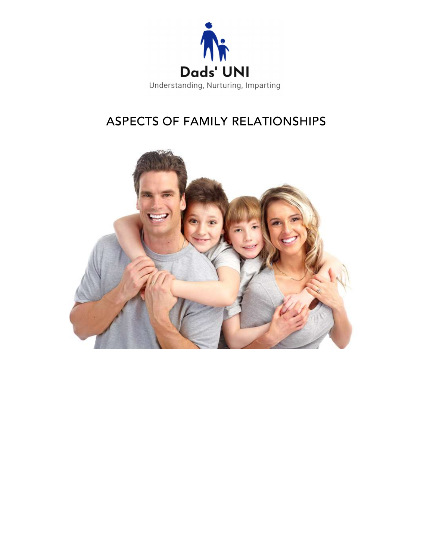

# ASPECTS OF FAMILY RELATIONSHIPS

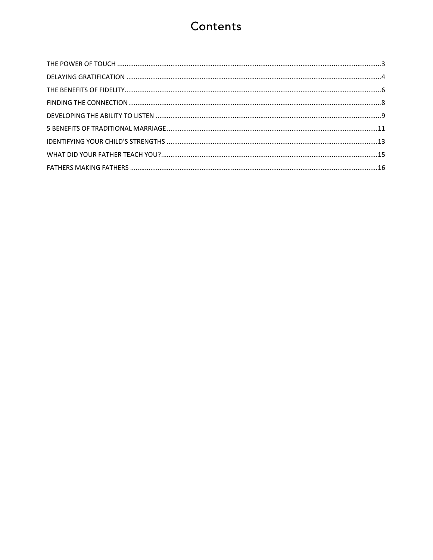# Contents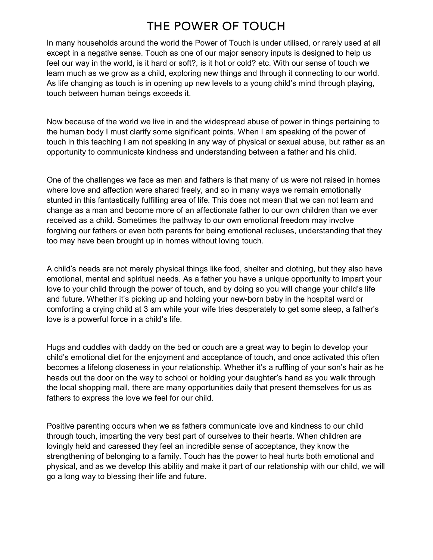## THE POWER OF TOUCH

In many households around the world the Power of Touch is under utilised, or rarely used at all except in a negative sense. Touch as one of our major sensory inputs is designed to help us feel our way in the world, is it hard or soft?, is it hot or cold? etc. With our sense of touch we learn much as we grow as a child, exploring new things and through it connecting to our world. As life changing as touch is in opening up new levels to a young child's mind through playing, touch between human beings exceeds it.

Now because of the world we live in and the widespread abuse of power in things pertaining to the human body I must clarify some significant points. When I am speaking of the power of touch in this teaching I am not speaking in any way of physical or sexual abuse, but rather as an opportunity to communicate kindness and understanding between a father and his child.

One of the challenges we face as men and fathers is that many of us were not raised in homes where love and affection were shared freely, and so in many ways we remain emotionally stunted in this fantastically fulfilling area of life. This does not mean that we can not learn and change as a man and become more of an affectionate father to our own children than we ever received as a child. Sometimes the pathway to our own emotional freedom may involve forgiving our fathers or even both parents for being emotional recluses, understanding that they too may have been brought up in homes without loving touch.

A child's needs are not merely physical things like food, shelter and clothing, but they also have emotional, mental and spiritual needs. As a father you have a unique opportunity to impart your love to your child through the power of touch, and by doing so you will change your child's life and future. Whether it's picking up and holding your new-born baby in the hospital ward or comforting a crying child at 3 am while your wife tries desperately to get some sleep, a father's love is a powerful force in a child's life.

Hugs and cuddles with daddy on the bed or couch are a great way to begin to develop your child's emotional diet for the enjoyment and acceptance of touch, and once activated this often becomes a lifelong closeness in your relationship. Whether it's a ruffling of your son's hair as he heads out the door on the way to school or holding your daughter's hand as you walk through the local shopping mall, there are many opportunities daily that present themselves for us as fathers to express the love we feel for our child.

Positive parenting occurs when we as fathers communicate love and kindness to our child through touch, imparting the very best part of ourselves to their hearts. When children are lovingly held and caressed they feel an incredible sense of acceptance, they know the strengthening of belonging to a family. Touch has the power to heal hurts both emotional and physical, and as we develop this ability and make it part of our relationship with our child, we will go a long way to blessing their life and future.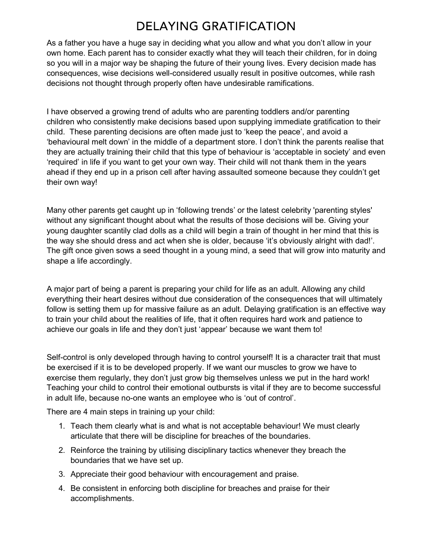## **DELAYING GRATIFICATION**

As a father you have a huge say in deciding what you allow and what you don't allow in your own home. Each parent has to consider exactly what they will teach their children, for in doing so you will in a major way be shaping the future of their young lives. Every decision made has consequences, wise decisions well-considered usually result in positive outcomes, while rash decisions not thought through properly often have undesirable ramifications.

I have observed a growing trend of adults who are parenting toddlers and/or parenting children who consistently make decisions based upon supplying immediate gratification to their child. These parenting decisions are often made just to 'keep the peace', and avoid a 'behavioural melt down' in the middle of a department store. I don't think the parents realise that they are actually training their child that this type of behaviour is 'acceptable in society' and even 'required' in life if you want to get your own way. Their child will not thank them in the years ahead if they end up in a prison cell after having assaulted someone because they couldn't get their own way!

Many other parents get caught up in 'following trends' or the latest celebrity 'parenting styles' without any significant thought about what the results of those decisions will be. Giving your young daughter scantily clad dolls as a child will begin a train of thought in her mind that this is the way she should dress and act when she is older, because 'it's obviously alright with dad!'. The gift once given sows a seed thought in a young mind, a seed that will grow into maturity and shape a life accordingly.

A major part of being a parent is preparing your child for life as an adult. Allowing any child everything their heart desires without due consideration of the consequences that will ultimately follow is setting them up for massive failure as an adult. Delaying gratification is an effective way to train your child about the realities of life, that it often requires hard work and patience to achieve our goals in life and they don't just 'appear' because we want them to!

Self-control is only developed through having to control yourself! It is a character trait that must be exercised if it is to be developed properly. If we want our muscles to grow we have to exercise them regularly, they don't just grow big themselves unless we put in the hard work! Teaching your child to control their emotional outbursts is vital if they are to become successful in adult life, because no-one wants an employee who is 'out of control'.

There are 4 main steps in training up your child:

- 1. Teach them clearly what is and what is not acceptable behaviour! We must clearly articulate that there will be discipline for breaches of the boundaries.
- 2. Reinforce the training by utilising disciplinary tactics whenever they breach the boundaries that we have set up.
- 3. Appreciate their good behaviour with encouragement and praise.
- 4. Be consistent in enforcing both discipline for breaches and praise for their accomplishments.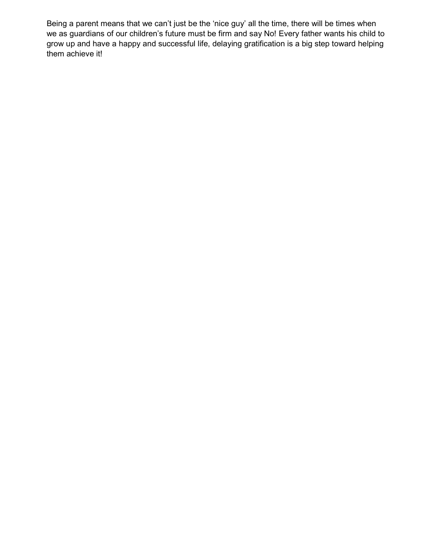Being a parent means that we can't just be the 'nice guy' all the time, there will be times when we as guardians of our children's future must be firm and say No! Every father wants his child to grow up and have a happy and successful life, delaying gratification is a big step toward helping them achieve it!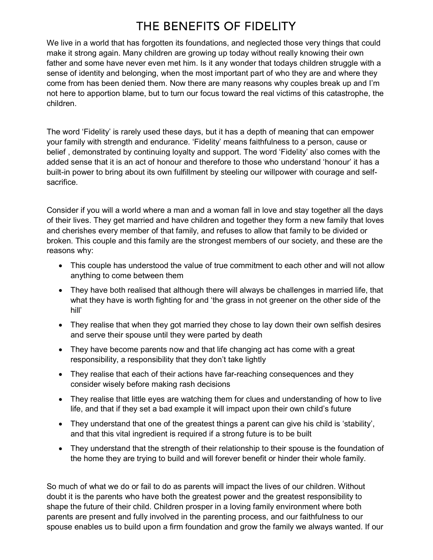# THE BENEFITS OF FIDELITY

We live in a world that has forgotten its foundations, and neglected those very things that could make it strong again. Many children are growing up today without really knowing their own father and some have never even met him. Is it any wonder that todays children struggle with a sense of identity and belonging, when the most important part of who they are and where they come from has been denied them. Now there are many reasons why couples break up and I'm not here to apportion blame, but to turn our focus toward the real victims of this catastrophe, the children.

The word 'Fidelity' is rarely used these days, but it has a depth of meaning that can empower your family with strength and endurance. 'Fidelity' means faithfulness to a person, cause or belief , demonstrated by continuing loyalty and support. The word 'Fidelity' also comes with the added sense that it is an act of honour and therefore to those who understand 'honour' it has a built-in power to bring about its own fulfillment by steeling our willpower with courage and selfsacrifice.

Consider if you will a world where a man and a woman fall in love and stay together all the days of their lives. They get married and have children and together they form a new family that loves and cherishes every member of that family, and refuses to allow that family to be divided or broken. This couple and this family are the strongest members of our society, and these are the reasons why:

- This couple has understood the value of true commitment to each other and will not allow anything to come between them
- They have both realised that although there will always be challenges in married life, that what they have is worth fighting for and 'the grass in not greener on the other side of the hill'
- They realise that when they got married they chose to lay down their own selfish desires and serve their spouse until they were parted by death
- They have become parents now and that life changing act has come with a great responsibility, a responsibility that they don't take lightly
- They realise that each of their actions have far-reaching consequences and they consider wisely before making rash decisions
- They realise that little eyes are watching them for clues and understanding of how to live life, and that if they set a bad example it will impact upon their own child's future
- They understand that one of the greatest things a parent can give his child is 'stability', and that this vital ingredient is required if a strong future is to be built
- They understand that the strength of their relationship to their spouse is the foundation of the home they are trying to build and will forever benefit or hinder their whole family.

So much of what we do or fail to do as parents will impact the lives of our children. Without doubt it is the parents who have both the greatest power and the greatest responsibility to shape the future of their child. Children prosper in a loving family environment where both parents are present and fully involved in the parenting process, and our faithfulness to our spouse enables us to build upon a firm foundation and grow the family we always wanted. If our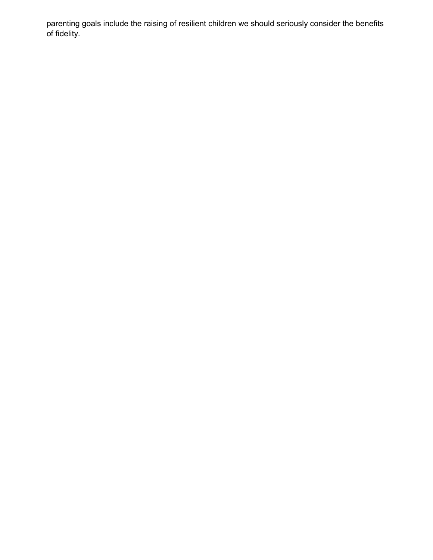parenting goals include the raising of resilient children we should seriously consider the benefits of fidelity.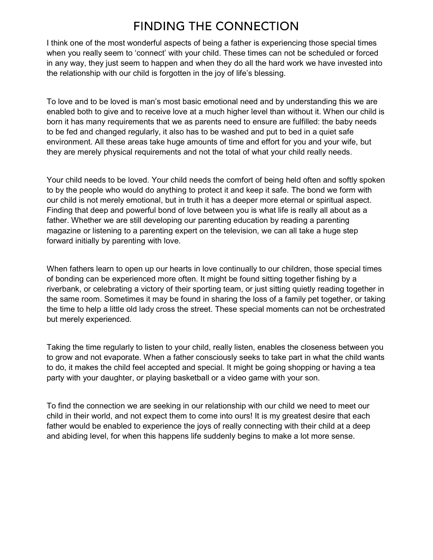## **FINDING THE CONNECTION**

I think one of the most wonderful aspects of being a father is experiencing those special times when you really seem to 'connect' with your child. These times can not be scheduled or forced in any way, they just seem to happen and when they do all the hard work we have invested into the relationship with our child is forgotten in the joy of life's blessing.

To love and to be loved is man's most basic emotional need and by understanding this we are enabled both to give and to receive love at a much higher level than without it. When our child is born it has many requirements that we as parents need to ensure are fulfilled: the baby needs to be fed and changed regularly, it also has to be washed and put to bed in a quiet safe environment. All these areas take huge amounts of time and effort for you and your wife, but they are merely physical requirements and not the total of what your child really needs.

Your child needs to be loved. Your child needs the comfort of being held often and softly spoken to by the people who would do anything to protect it and keep it safe. The bond we form with our child is not merely emotional, but in truth it has a deeper more eternal or spiritual aspect. Finding that deep and powerful bond of love between you is what life is really all about as a father. Whether we are still developing our parenting education by reading a parenting magazine or listening to a parenting expert on the television, we can all take a huge step forward initially by parenting with love.

When fathers learn to open up our hearts in love continually to our children, those special times of bonding can be experienced more often. It might be found sitting together fishing by a riverbank, or celebrating a victory of their sporting team, or just sitting quietly reading together in the same room. Sometimes it may be found in sharing the loss of a family pet together, or taking the time to help a little old lady cross the street. These special moments can not be orchestrated but merely experienced.

Taking the time regularly to listen to your child, really listen, enables the closeness between you to grow and not evaporate. When a father consciously seeks to take part in what the child wants to do, it makes the child feel accepted and special. It might be going shopping or having a tea party with your daughter, or playing basketball or a video game with your son.

To find the connection we are seeking in our relationship with our child we need to meet our child in their world, and not expect them to come into ours! It is my greatest desire that each father would be enabled to experience the joys of really connecting with their child at a deep and abiding level, for when this happens life suddenly begins to make a lot more sense.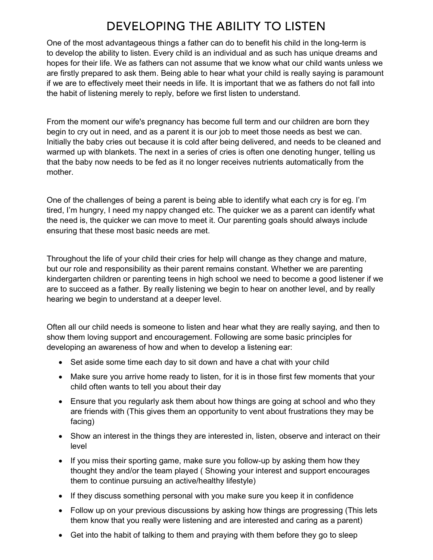# DEVELOPING THE ABILITY TO LISTEN

One of the most advantageous things a father can do to benefit his child in the long-term is to develop the ability to listen. Every child is an individual and as such has unique dreams and hopes for their life. We as fathers can not assume that we know what our child wants unless we are firstly prepared to ask them. Being able to hear what your child is really saying is paramount if we are to effectively meet their needs in life. It is important that we as fathers do not fall into the habit of listening merely to reply, before we first listen to understand.

From the moment our wife's pregnancy has become full term and our children are born they begin to cry out in need, and as a parent it is our job to meet those needs as best we can. Initially the baby cries out because it is cold after being delivered, and needs to be cleaned and warmed up with blankets. The next in a series of cries is often one denoting hunger, telling us that the baby now needs to be fed as it no longer receives nutrients automatically from the mother.

One of the challenges of being a parent is being able to identify what each cry is for eg. I'm tired, I'm hungry, I need my nappy changed etc. The quicker we as a parent can identify what the need is, the quicker we can move to meet it. Our parenting goals should always include ensuring that these most basic needs are met.

Throughout the life of your child their cries for help will change as they change and mature, but our role and responsibility as their parent remains constant. Whether we are parenting kindergarten children or parenting teens in high school we need to become a good listener if we are to succeed as a father. By really listening we begin to hear on another level, and by really hearing we begin to understand at a deeper level.

Often all our child needs is someone to listen and hear what they are really saying, and then to show them loving support and encouragement. Following are some basic principles for developing an awareness of how and when to develop a listening ear:

- Set aside some time each day to sit down and have a chat with your child
- Make sure you arrive home ready to listen, for it is in those first few moments that your child often wants to tell you about their day
- Ensure that you regularly ask them about how things are going at school and who they are friends with (This gives them an opportunity to vent about frustrations they may be facing)
- Show an interest in the things they are interested in, listen, observe and interact on their level
- If you miss their sporting game, make sure you follow-up by asking them how they thought they and/or the team played ( Showing your interest and support encourages them to continue pursuing an active/healthy lifestyle)
- If they discuss something personal with you make sure you keep it in confidence
- Follow up on your previous discussions by asking how things are progressing (This lets them know that you really were listening and are interested and caring as a parent)
- Get into the habit of talking to them and praying with them before they go to sleep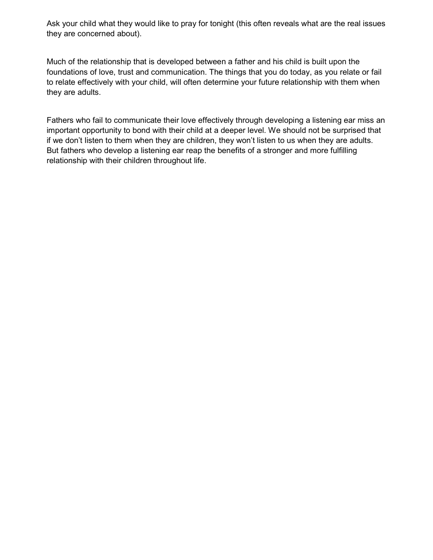Ask your child what they would like to pray for tonight (this often reveals what are the real issues they are concerned about).

Much of the relationship that is developed between a father and his child is built upon the foundations of love, trust and communication. The things that you do today, as you relate or fail to relate effectively with your child, will often determine your future relationship with them when they are adults.

Fathers who fail to communicate their love effectively through developing a listening ear miss an important opportunity to bond with their child at a deeper level. We should not be surprised that if we don't listen to them when they are children, they won't listen to us when they are adults. But fathers who develop a listening ear reap the benefits of a stronger and more fulfilling relationship with their children throughout life.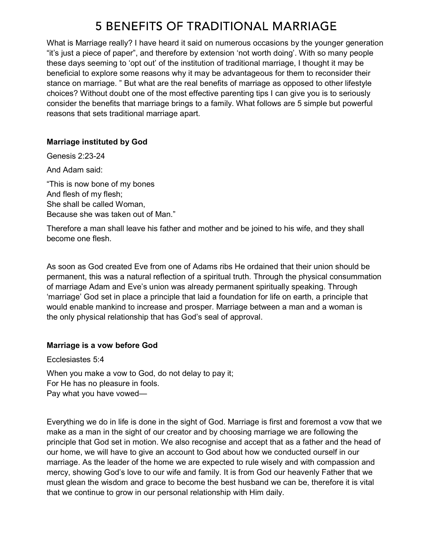## **5 BENEFITS OF TRADITIONAL MARRIAGE**

What is Marriage really? I have heard it said on numerous occasions by the younger generation "it's just a piece of paper", and therefore by extension 'not worth doing'. With so many people these days seeming to 'opt out' of the institution of traditional marriage, I thought it may be beneficial to explore some reasons why it may be advantageous for them to reconsider their stance on marriage. " But what are the real benefits of marriage as opposed to other lifestyle choices? Without doubt one of the most effective parenting tips I can give you is to seriously consider the benefits that marriage brings to a family. What follows are 5 simple but powerful reasons that sets traditional marriage apart.

#### Marriage instituted by God

Genesis 2:23-24

And Adam said:

"This is now bone of my bones And flesh of my flesh; She shall be called Woman, Because she was taken out of Man."

Therefore a man shall leave his father and mother and be joined to his wife, and they shall become one flesh.

As soon as God created Eve from one of Adams ribs He ordained that their union should be permanent, this was a natural reflection of a spiritual truth. Through the physical consummation of marriage Adam and Eve's union was already permanent spiritually speaking. Through 'marriage' God set in place a principle that laid a foundation for life on earth, a principle that would enable mankind to increase and prosper. Marriage between a man and a woman is the only physical relationship that has God's seal of approval.

#### Marriage is a vow before God

Ecclesiastes 5:4 When you make a vow to God, do not delay to pay it; For He has no pleasure in fools. Pay what you have vowed—

Everything we do in life is done in the sight of God. Marriage is first and foremost a vow that we make as a man in the sight of our creator and by choosing marriage we are following the principle that God set in motion. We also recognise and accept that as a father and the head of our home, we will have to give an account to God about how we conducted ourself in our marriage. As the leader of the home we are expected to rule wisely and with compassion and mercy, showing God's love to our wife and family. It is from God our heavenly Father that we must glean the wisdom and grace to become the best husband we can be, therefore it is vital that we continue to grow in our personal relationship with Him daily.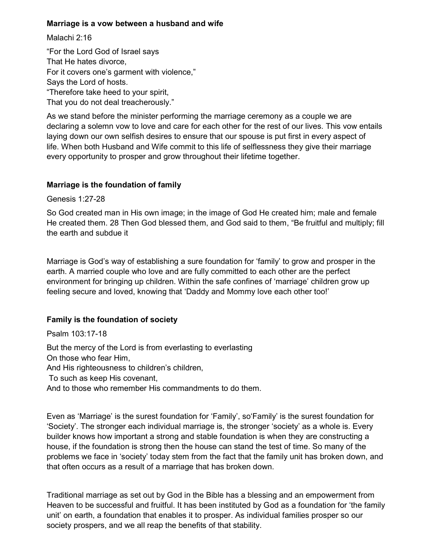#### Marriage is a vow between a husband and wife

Malachi 2:16

"For the Lord God of Israel says That He hates divorce, For it covers one's garment with violence," Says the Lord of hosts. "Therefore take heed to your spirit, That you do not deal treacherously."

As we stand before the minister performing the marriage ceremony as a couple we are declaring a solemn vow to love and care for each other for the rest of our lives. This vow entails laying down our own selfish desires to ensure that our spouse is put first in every aspect of life. When both Husband and Wife commit to this life of selflessness they give their marriage every opportunity to prosper and grow throughout their lifetime together.

#### Marriage is the foundation of family

Genesis 1:27-28

So God created man in His own image; in the image of God He created him; male and female He created them. 28 Then God blessed them, and God said to them, "Be fruitful and multiply; fill the earth and subdue it

Marriage is God's way of establishing a sure foundation for 'family' to grow and prosper in the earth. A married couple who love and are fully committed to each other are the perfect environment for bringing up children. Within the safe confines of 'marriage' children grow up feeling secure and loved, knowing that 'Daddy and Mommy love each other too!'

#### Family is the foundation of society

Psalm 103:17-18 But the mercy of the Lord is from everlasting to everlasting On those who fear Him, And His righteousness to children's children, To such as keep His covenant, And to those who remember His commandments to do them.

Even as 'Marriage' is the surest foundation for 'Family', so'Family' is the surest foundation for 'Society'. The stronger each individual marriage is, the stronger 'society' as a whole is. Every builder knows how important a strong and stable foundation is when they are constructing a house, if the foundation is strong then the house can stand the test of time. So many of the problems we face in 'society' today stem from the fact that the family unit has broken down, and that often occurs as a result of a marriage that has broken down.

Traditional marriage as set out by God in the Bible has a blessing and an empowerment from Heaven to be successful and fruitful. It has been instituted by God as a foundation for 'the family unit' on earth, a foundation that enables it to prosper. As individual families prosper so our society prospers, and we all reap the benefits of that stability.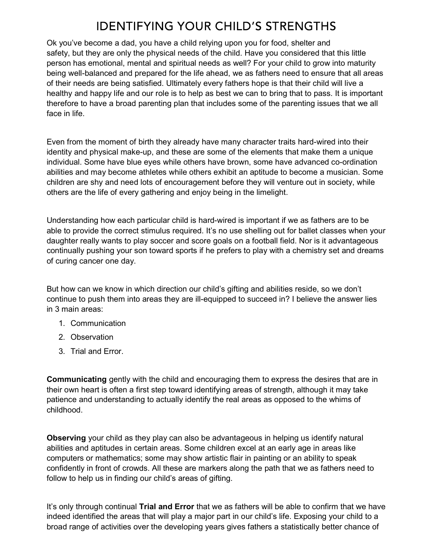## **IDENTIFYING YOUR CHILD'S STRENGTHS**

Ok you've become a dad, you have a child relying upon you for food, shelter and safety, but they are only the physical needs of the child. Have you considered that this little person has emotional, mental and spiritual needs as well? For your child to grow into maturity being well-balanced and prepared for the life ahead, we as fathers need to ensure that all areas of their needs are being satisfied. Ultimately every fathers hope is that their child will live a healthy and happy life and our role is to help as best we can to bring that to pass. It is important therefore to have a broad parenting plan that includes some of the parenting issues that we all face in life.

Even from the moment of birth they already have many character traits hard-wired into their identity and physical make-up, and these are some of the elements that make them a unique individual. Some have blue eyes while others have brown, some have advanced co-ordination abilities and may become athletes while others exhibit an aptitude to become a musician. Some children are shy and need lots of encouragement before they will venture out in society, while others are the life of every gathering and enjoy being in the limelight.

Understanding how each particular child is hard-wired is important if we as fathers are to be able to provide the correct stimulus required. It's no use shelling out for ballet classes when your daughter really wants to play soccer and score goals on a football field. Nor is it advantageous continually pushing your son toward sports if he prefers to play with a chemistry set and dreams of curing cancer one day.

But how can we know in which direction our child's gifting and abilities reside, so we don't continue to push them into areas they are ill-equipped to succeed in? I believe the answer lies in 3 main areas:

- 1. Communication
- 2. Observation
- 3. Trial and Error.

Communicating gently with the child and encouraging them to express the desires that are in their own heart is often a first step toward identifying areas of strength, although it may take patience and understanding to actually identify the real areas as opposed to the whims of childhood.

Observing your child as they play can also be advantageous in helping us identify natural abilities and aptitudes in certain areas. Some children excel at an early age in areas like computers or mathematics; some may show artistic flair in painting or an ability to speak confidently in front of crowds. All these are markers along the path that we as fathers need to follow to help us in finding our child's areas of gifting.

It's only through continual Trial and Error that we as fathers will be able to confirm that we have indeed identified the areas that will play a major part in our child's life. Exposing your child to a broad range of activities over the developing years gives fathers a statistically better chance of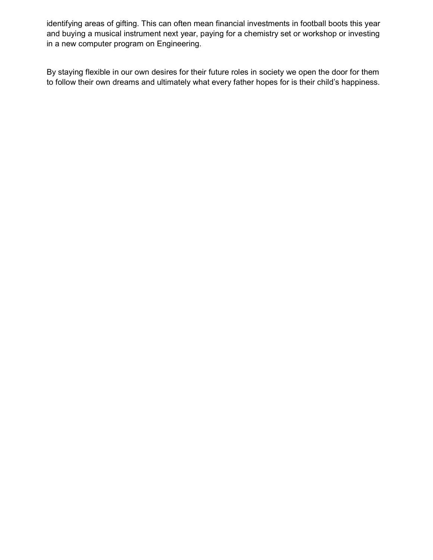identifying areas of gifting. This can often mean financial investments in football boots this year and buying a musical instrument next year, paying for a chemistry set or workshop or investing in a new computer program on Engineering.

By staying flexible in our own desires for their future roles in society we open the door for them to follow their own dreams and ultimately what every father hopes for is their child's happiness.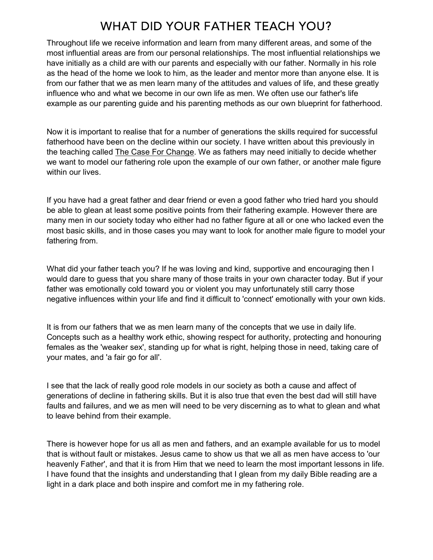## WHAT DID YOUR FATHER TEACH YOU?

Throughout life we receive information and learn from many different areas, and some of the most influential areas are from our personal relationships. The most influential relationships we have initially as a child are with our parents and especially with our father. Normally in his role as the head of the home we look to him, as the leader and mentor more than anyone else. It is from our father that we as men learn many of the attitudes and values of life, and these greatly influence who and what we become in our own life as men. We often use our father's life example as our parenting guide and his parenting methods as our own blueprint for fatherhood.

Now it is important to realise that for a number of generations the skills required for successful fatherhood have been on the decline within our society. I have written about this previously in the teaching called The Case For Change. We as fathers may need initially to decide whether we want to model our fathering role upon the example of our own father, or another male figure within our lives.

If you have had a great father and dear friend or even a good father who tried hard you should be able to glean at least some positive points from their fathering example. However there are many men in our society today who either had no father figure at all or one who lacked even the most basic skills, and in those cases you may want to look for another male figure to model your fathering from.

What did your father teach you? If he was loving and kind, supportive and encouraging then I would dare to guess that you share many of those traits in your own character today. But if your father was emotionally cold toward you or violent you may unfortunately still carry those negative influences within your life and find it difficult to 'connect' emotionally with your own kids.

It is from our fathers that we as men learn many of the concepts that we use in daily life. Concepts such as a healthy work ethic, showing respect for authority, protecting and honouring females as the 'weaker sex', standing up for what is right, helping those in need, taking care of your mates, and 'a fair go for all'.

I see that the lack of really good role models in our society as both a cause and affect of generations of decline in fathering skills. But it is also true that even the best dad will still have faults and failures, and we as men will need to be very discerning as to what to glean and what to leave behind from their example.

There is however hope for us all as men and fathers, and an example available for us to model that is without fault or mistakes. Jesus came to show us that we all as men have access to 'our heavenly Father', and that it is from Him that we need to learn the most important lessons in life. I have found that the insights and understanding that I glean from my daily Bible reading are a light in a dark place and both inspire and comfort me in my fathering role.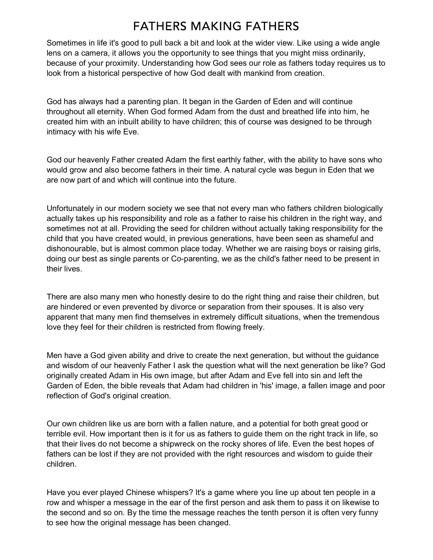### **FATHERS MAKING FATHERS**

Sometimes in life it's good to pull back a bit and look at the wider view. Like using a wide angle lens on a camera, it allows you the opportunity to see things that you might miss ordinarily, because of your proximity. Understanding how God sees our role as fathers today requires us to look from a historical perspective of how God dealt with mankind from creation.

God has always had a parenting plan. It began in the Garden of Eden and will continue throughout all eternity. When God formed Adam from the dust and breathed life into him, he created him with an inbuilt ability to have children; this of course was designed to be through intimacy with his wife Eve.

God our heavenly Father created Adam the first earthly father, with the ability to have sons who would grow and also become fathers in their time. A natural cycle was begun in Eden that we are now part of and which will continue into the future.

Unfortunately in our modern society we see that not every man who fathers children biologically actually takes up his responsibility and role as a father to raise his children in the right way, and sometimes not at all. Providing the seed for children without actually taking responsibility for the child that you have created would, in previous generations, have been seen as shameful and dishonourable, but is almost common place today. Whether we are raising boys or raising girls, doing our best as single parents or Co-parenting, we as the child's father need to be present in their lives.

There are also many men who honestly desire to do the right thing and raise their children, but are hindered or even prevented by divorce or separation from their spouses. It is also very apparent that many men find themselves in extremely difficult situations, when the tremendous love they feel for their children is restricted from flowing freely.

Men have a God given ability and drive to create the next generation, but without the guidance and wisdom of our heavenly Father I ask the question what will the next generation be like? God originally created Adam in His own image, but after Adam and Eve fell into sin and left the Garden of Eden, the bible reveals that Adam had children in 'his' image, a fallen image and poor reflection of God's original creation.

Our own children like us are born with a fallen nature, and a potential for both great good or terrible evil. How important then is it for us as fathers to guide them on the right track in life, so that their lives do not become a shipwreck on the rocky shores of life. Even the best hopes of fathers can be lost if they are not provided with the right resources and wisdom to guide their children.

Have you ever played Chinese whispers? It's a game where you line up about ten people in a row and whisper a message in the ear of the first person and ask them to pass it on likewise to the second and so on. By the time the message reaches the tenth person it is often very funny to see how the original message has been changed.